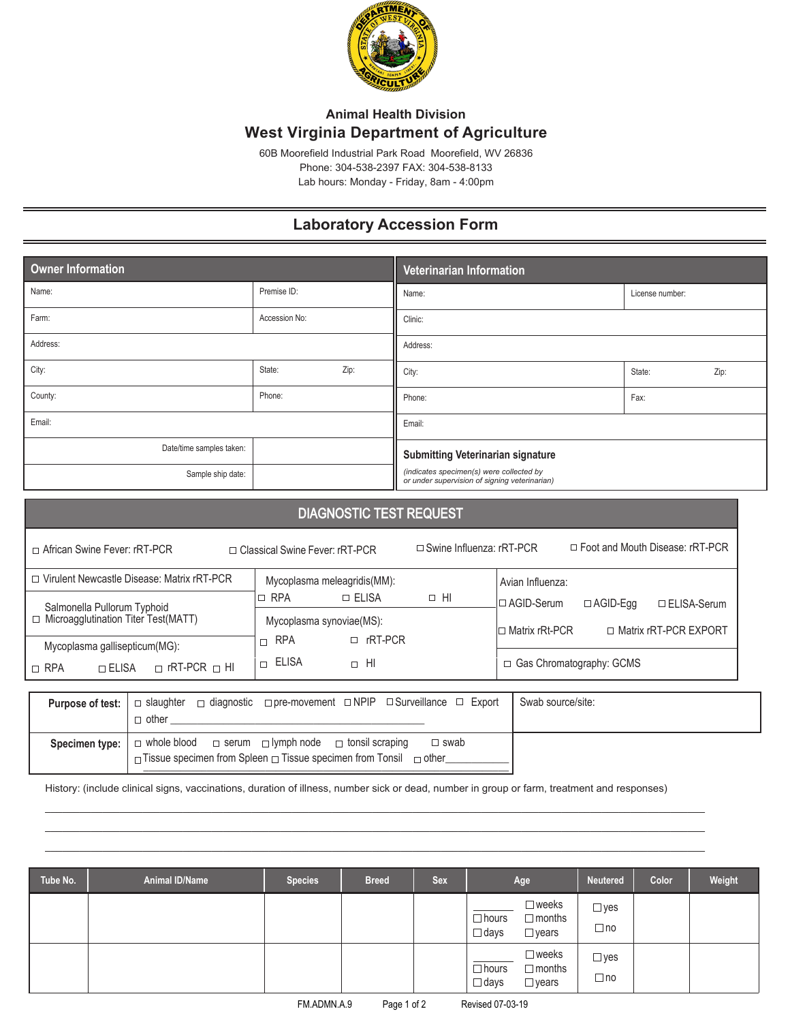

## **Animal Health Division West Virginia Department of Agriculture**

60B Moorefield Industrial Park Road Moorefield, WV 26836 Phone: 304-538-2397 FAX: 304-538-8133 Lab hours: Monday - Friday, 8am - 4:00pm

## **Laboratory Accession Form**

| Owner Information        |               |      | Veterinarian Information                                                                  |                 |      |  |  |
|--------------------------|---------------|------|-------------------------------------------------------------------------------------------|-----------------|------|--|--|
| Name:                    | Premise ID:   |      | Name:                                                                                     | License number: |      |  |  |
| Farm:                    | Accession No: |      | Clinic:                                                                                   |                 |      |  |  |
| Address:                 |               |      | Address:                                                                                  |                 |      |  |  |
| City:                    | State:        | Zip: | City:                                                                                     | State:          | Zip: |  |  |
| County:                  | Phone:        |      | Phone:                                                                                    | Fax:            |      |  |  |
| Email:                   |               |      | Email:                                                                                    |                 |      |  |  |
| Date/time samples taken: |               |      | <b>Submitting Veterinarian signature</b>                                                  |                 |      |  |  |
| Sample ship date:        |               |      | (indicates specimen(s) were collected by<br>or under supervision of signing veterinarian) |                 |      |  |  |

| <b>DIAGNOSTIC TEST REQUEST</b>                                                                        |                                                       |                                                                                                                              |                                 |                                                                                                                                       |  |  |  |  |  |
|-------------------------------------------------------------------------------------------------------|-------------------------------------------------------|------------------------------------------------------------------------------------------------------------------------------|---------------------------------|---------------------------------------------------------------------------------------------------------------------------------------|--|--|--|--|--|
| □ African Swine Fever: rRT-PCR                                                                        |                                                       | □ Classical Swine Fever: rRT-PCR                                                                                             | $\Box$ Swine Influenza: rRT-PCR | $\Box$ Foot and Mouth Disease: rRT-PCR                                                                                                |  |  |  |  |  |
|                                                                                                       | □ Virulent Newcastle Disease: Matrix rRT-PCR          | Mycoplasma meleagridis(MM):                                                                                                  |                                 | Avian Influenza:                                                                                                                      |  |  |  |  |  |
| Salmonella Pullorum Typhoid<br>□ Microagglutination Titer Test(MATT)<br>Mycoplasma gallisepticum(MG): |                                                       | ⊐ RPA<br>$\Box$ Elisa<br>Mycoplasma synoviae(MS):<br>$\Box$ rRT-PCR<br><b>RPA</b><br>$\Box$<br>ELISA<br>$\Box$ HI<br>$\Box$  | $\Box$ HI                       | l□ AGID-Serum<br>$\Box$ AGID-Eqq<br>$\Box$ ELISA-Serum<br>□ Matrix rRT-PCR EXPORT<br>l⊡ Matrix rRt-PCR_<br>□ Gas Chromatography: GCMS |  |  |  |  |  |
| $\sqcap$ rRT-PCR $\sqcap$ HI<br>$\Box$ RPA<br>$\Box$ ELISA                                            |                                                       |                                                                                                                              |                                 |                                                                                                                                       |  |  |  |  |  |
| Purpose of test:                                                                                      | $\Box$ diagnostic<br>$\Box$ slaughter<br>$\Box$ other | $\Box$ pre-movement $\Box$ NPIP $\Box$ Surveillance                                                                          | $\Box$ Export                   | Swab source/site:                                                                                                                     |  |  |  |  |  |
| Specimen type:                                                                                        | $\Box$ whole blood<br>$\Box$ serum                    | □ lymph node<br>$\Box$ tonsil scraping<br>$\Box$ Tissue specimen from Spleen $\Box$ Tissue specimen from Tonsil $\Box$ other | $\Box$ swab                     |                                                                                                                                       |  |  |  |  |  |

History: (include clinical signs, vaccinations, duration of illness, number sick or dead, number in group or farm, treatment and responses)

\_\_\_\_\_\_\_\_\_\_\_\_\_\_\_\_\_\_\_\_\_\_\_\_\_\_\_\_\_\_\_\_\_\_\_\_\_\_\_\_\_\_\_\_\_\_\_\_\_\_\_\_\_\_\_\_\_\_\_\_\_\_\_\_\_\_\_\_\_\_\_\_\_\_\_\_\_\_\_\_\_\_\_\_\_\_\_\_\_\_\_\_\_\_\_\_\_\_\_\_\_\_\_\_\_\_\_\_\_\_\_\_\_\_\_ \_\_\_\_\_\_\_\_\_\_\_\_\_\_\_\_\_\_\_\_\_\_\_\_\_\_\_\_\_\_\_\_\_\_\_\_\_\_\_\_\_\_\_\_\_\_\_\_\_\_\_\_\_\_\_\_\_\_\_\_\_\_\_\_\_\_\_\_\_\_\_\_\_\_\_\_\_\_\_\_\_\_\_\_\_\_\_\_\_\_\_\_\_\_\_\_\_\_\_\_\_\_\_\_\_\_\_\_\_\_\_\_\_\_\_ \_\_\_\_\_\_\_\_\_\_\_\_\_\_\_\_\_\_\_\_\_\_\_\_\_\_\_\_\_\_\_\_\_\_\_\_\_\_\_\_\_\_\_\_\_\_\_\_\_\_\_\_\_\_\_\_\_\_\_\_\_\_\_\_\_\_\_\_\_\_\_\_\_\_\_\_\_\_\_\_\_\_\_\_\_\_\_\_\_\_\_\_\_\_\_\_\_\_\_\_\_\_\_\_\_\_\_\_\_\_\_\_\_\_\_

| Tube No. | Animal ID/Name | <b>Species</b> | <b>Breed</b> | <b>Sex</b> | Age                                                                                | <b>Neutered</b>            | Color | Weight |
|----------|----------------|----------------|--------------|------------|------------------------------------------------------------------------------------|----------------------------|-------|--------|
|          |                |                |              |            | $\square$ weeks<br>$\Box$ hours<br>$\Box$ months<br>$\square$ days<br>$\Box$ years | $\Box$ yes<br>$\Box$ no    |       |        |
|          |                |                |              |            | $\square$ weeks<br>$\Box$ hours<br>$\Box$ months<br>$\square$ days<br>$\Box$ years | $\square$ yes<br>$\Box$ no |       |        |